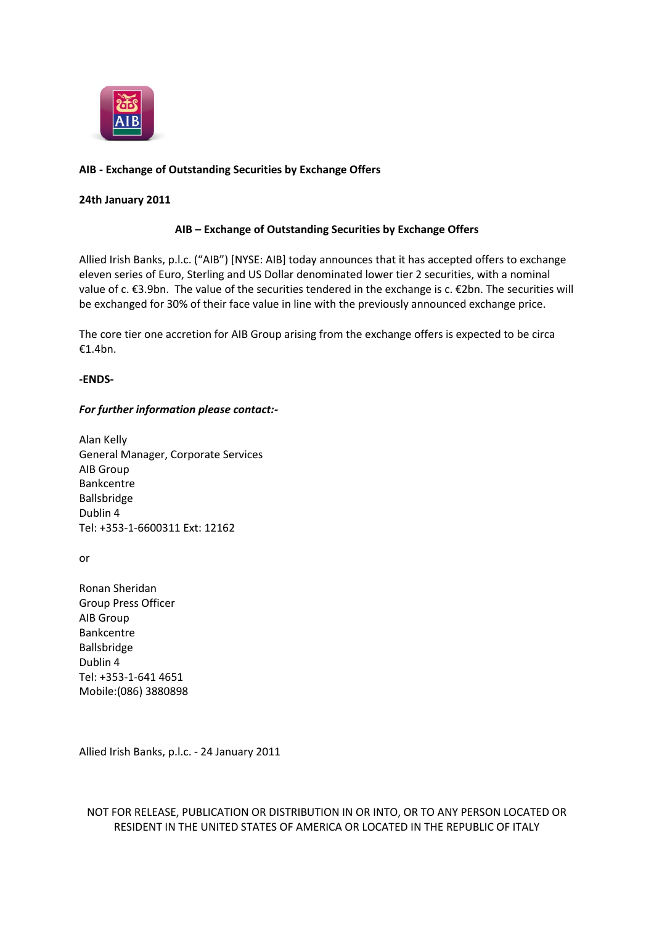

# **AIB - Exchange of Outstanding Securities by Exchange Offers**

### **24th January 2011**

## **AIB – Exchange of Outstanding Securities by Exchange Offers**

Allied Irish Banks, p.l.c. ("AIB") [NYSE: AIB] today announces that it has accepted offers to exchange eleven series of Euro, Sterling and US Dollar denominated lower tier 2 securities, with a nominal value of c. €3.9bn. The value of the securities tendered in the exchange is c. €2bn. The securities will be exchanged for 30% of their face value in line with the previously announced exchange price.

The core tier one accretion for AIB Group arising from the exchange offers is expected to be circa €1.4bn.

#### **-ENDS-**

#### *For further information please contact:-*

Alan Kelly General Manager, Corporate Services AIB Group Bankcentre Ballsbridge Dublin 4 Tel: +353-1-6600311 Ext: 12162

or

Ronan Sheridan Group Press Officer AIB Group Bankcentre Ballsbridge Dublin 4 Tel: +353-1-641 4651 Mobile:(086) 3880898

Allied Irish Banks, p.l.c. - 24 January 2011

NOT FOR RELEASE, PUBLICATION OR DISTRIBUTION IN OR INTO, OR TO ANY PERSON LOCATED OR RESIDENT IN THE UNITED STATES OF AMERICA OR LOCATED IN THE REPUBLIC OF ITALY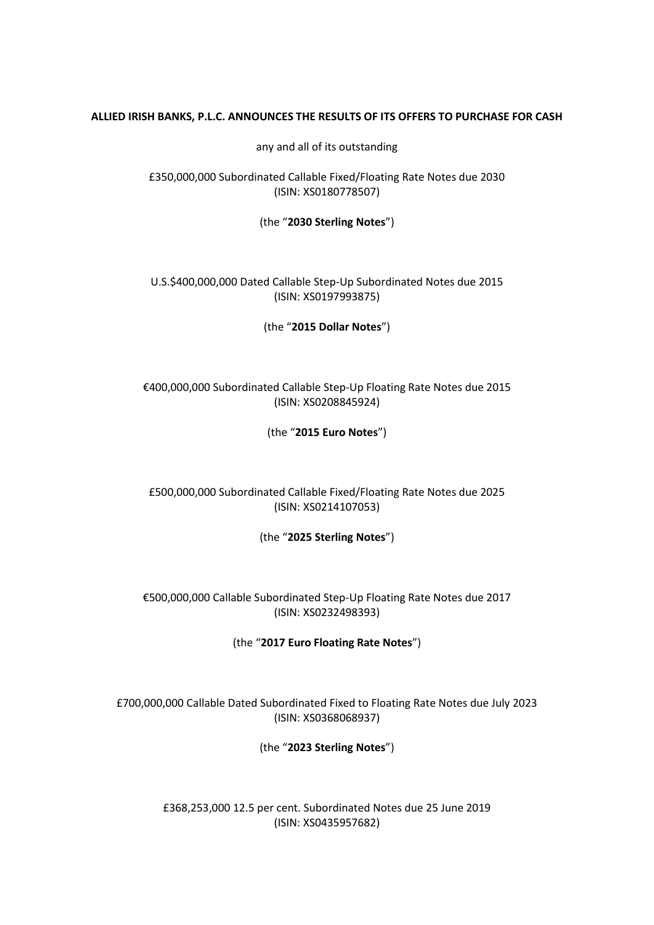## **ALLIED IRISH BANKS, P.L.C. ANNOUNCES THE RESULTS OF ITS OFFERS TO PURCHASE FOR CASH**

any and all of its outstanding

£350,000,000 Subordinated Callable Fixed/Floating Rate Notes due 2030 (ISIN: XS0180778507)

(the "**2030 Sterling Notes**")

U.S.\$400,000,000 Dated Callable Step-Up Subordinated Notes due 2015 (ISIN: XS0197993875)

(the "**2015 Dollar Notes**")

€400,000,000 Subordinated Callable Step-Up Floating Rate Notes due 2015 (ISIN: XS0208845924)

(the "**2015 Euro Notes**")

£500,000,000 Subordinated Callable Fixed/Floating Rate Notes due 2025 (ISIN: XS0214107053)

(the "**2025 Sterling Notes**")

€500,000,000 Callable Subordinated Step-Up Floating Rate Notes due 2017 (ISIN: XS0232498393)

(the "**2017 Euro Floating Rate Notes**")

£700,000,000 Callable Dated Subordinated Fixed to Floating Rate Notes due July 2023 (ISIN: XS0368068937)

(the "**2023 Sterling Notes**")

£368,253,000 12.5 per cent. Subordinated Notes due 25 June 2019 (ISIN: XS0435957682)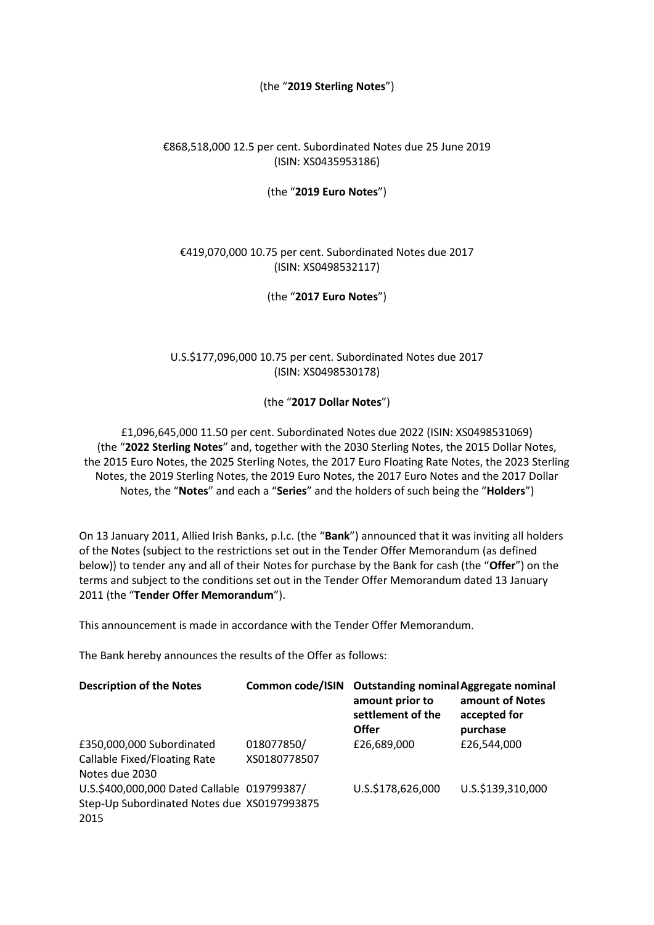## (the "**2019 Sterling Notes**")

# €868,518,000 12.5 per cent. Subordinated Notes due 25 June 2019 (ISIN: XS0435953186)

## (the "**2019 Euro Notes**")

# €419,070,000 10.75 per cent. Subordinated Notes due 2017 (ISIN: XS0498532117)

(the "**2017 Euro Notes**")

# U.S.\$177,096,000 10.75 per cent. Subordinated Notes due 2017 (ISIN: XS0498530178)

(the "**2017 Dollar Notes**")

£1,096,645,000 11.50 per cent. Subordinated Notes due 2022 (ISIN: XS0498531069) (the "**2022 Sterling Notes**" and, together with the 2030 Sterling Notes, the 2015 Dollar Notes, the 2015 Euro Notes, the 2025 Sterling Notes, the 2017 Euro Floating Rate Notes, the 2023 Sterling Notes, the 2019 Sterling Notes, the 2019 Euro Notes, the 2017 Euro Notes and the 2017 Dollar Notes, the "**Notes**" and each a "**Series**" and the holders of such being the "**Holders**")

On 13 January 2011, Allied Irish Banks, p.l.c. (the "**Bank**") announced that it was inviting all holders of the Notes (subject to the restrictions set out in the Tender Offer Memorandum (as defined below)) to tender any and all of their Notes for purchase by the Bank for cash (the "**Offer**") on the terms and subject to the conditions set out in the Tender Offer Memorandum dated 13 January 2011 (the "**Tender Offer Memorandum**").

This announcement is made in accordance with the Tender Offer Memorandum.

The Bank hereby announces the results of the Offer as follows:

| <b>Description of the Notes</b>                                                                    |                            | Common code/ISIN Outstanding nominal Aggregate nominal<br>amount prior to<br>settlement of the<br><b>Offer</b> | amount of Notes<br>accepted for<br>purchase |
|----------------------------------------------------------------------------------------------------|----------------------------|----------------------------------------------------------------------------------------------------------------|---------------------------------------------|
| £350,000,000 Subordinated<br>Callable Fixed/Floating Rate<br>Notes due 2030                        | 018077850/<br>XS0180778507 | £26,689,000                                                                                                    | £26,544,000                                 |
| U.S.\$400,000,000 Dated Callable 019799387/<br>Step-Up Subordinated Notes due XS0197993875<br>2015 |                            | U.S.\$178,626,000                                                                                              | U.S.\$139,310,000                           |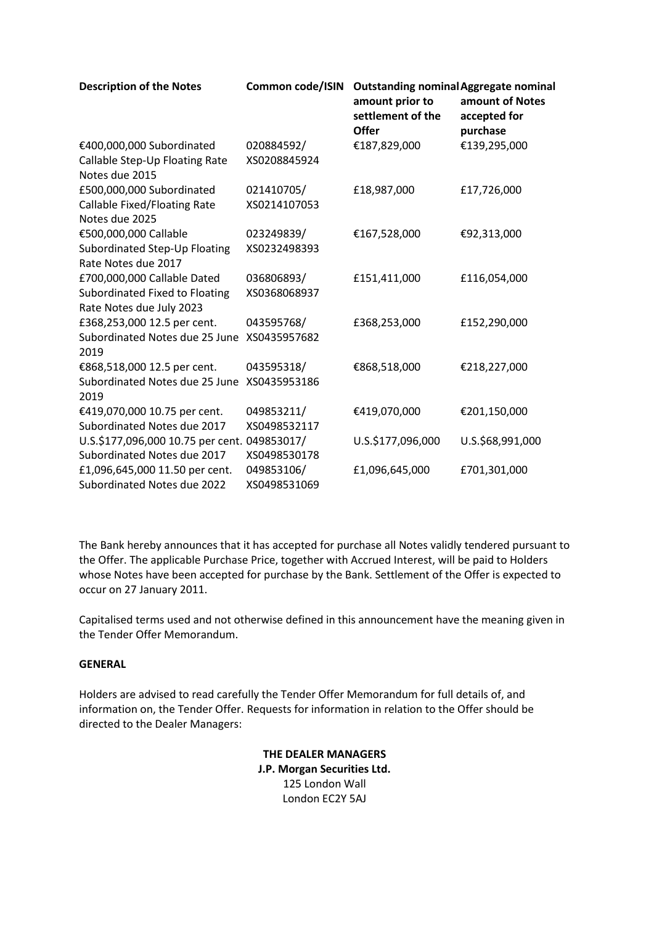| <b>Description of the Notes</b>                  | Common code/ISIN | <b>Outstanding nominal Aggregate nominal</b><br>amount prior to<br>settlement of the<br>Offer | amount of Notes<br>accepted for<br>purchase |
|--------------------------------------------------|------------------|-----------------------------------------------------------------------------------------------|---------------------------------------------|
| €400,000,000 Subordinated                        | 020884592/       | €187,829,000                                                                                  | €139,295,000                                |
| Callable Step-Up Floating Rate<br>Notes due 2015 | XS0208845924     |                                                                                               |                                             |
| £500,000,000 Subordinated                        | 021410705/       | £18,987,000                                                                                   | £17,726,000                                 |
| Callable Fixed/Floating Rate<br>Notes due 2025   | XS0214107053     |                                                                                               |                                             |
| €500,000,000 Callable                            | 023249839/       | €167,528,000                                                                                  | €92,313,000                                 |
| Subordinated Step-Up Floating                    | XS0232498393     |                                                                                               |                                             |
| Rate Notes due 2017                              |                  |                                                                                               |                                             |
| £700,000,000 Callable Dated                      | 036806893/       | £151,411,000                                                                                  | £116,054,000                                |
| Subordinated Fixed to Floating                   | XS0368068937     |                                                                                               |                                             |
| Rate Notes due July 2023                         |                  |                                                                                               |                                             |
| £368,253,000 12.5 per cent.                      | 043595768/       | £368,253,000                                                                                  | £152,290,000                                |
| Subordinated Notes due 25 June<br>2019           | XS0435957682     |                                                                                               |                                             |
| €868,518,000 12.5 per cent.                      | 043595318/       | €868,518,000                                                                                  | €218,227,000                                |
| Subordinated Notes due 25 June                   | XS0435953186     |                                                                                               |                                             |
| 2019                                             |                  |                                                                                               |                                             |
| €419,070,000 10.75 per cent.                     | 049853211/       | €419,070,000                                                                                  | €201,150,000                                |
| Subordinated Notes due 2017                      | XS0498532117     |                                                                                               |                                             |
| U.S.\$177,096,000 10.75 per cent. 049853017/     |                  | U.S.\$177,096,000                                                                             | U.S.\$68,991,000                            |
| Subordinated Notes due 2017                      | XS0498530178     |                                                                                               |                                             |
| £1,096,645,000 11.50 per cent.                   | 049853106/       | £1,096,645,000                                                                                | £701,301,000                                |
| Subordinated Notes due 2022                      | XS0498531069     |                                                                                               |                                             |

The Bank hereby announces that it has accepted for purchase all Notes validly tendered pursuant to the Offer. The applicable Purchase Price, together with Accrued Interest, will be paid to Holders whose Notes have been accepted for purchase by the Bank. Settlement of the Offer is expected to occur on 27 January 2011.

Capitalised terms used and not otherwise defined in this announcement have the meaning given in the Tender Offer Memorandum.

## **GENERAL**

Holders are advised to read carefully the Tender Offer Memorandum for full details of, and information on, the Tender Offer. Requests for information in relation to the Offer should be directed to the Dealer Managers:

> **THE DEALER MANAGERS J.P. Morgan Securities Ltd.** 125 London Wall London EC2Y 5AJ